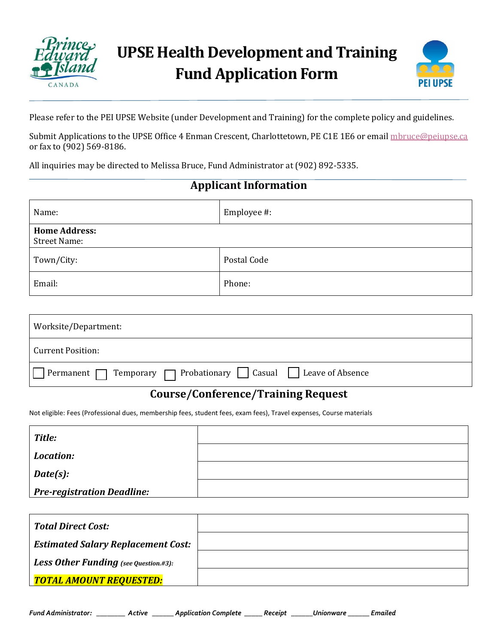



Please refer to the PEI UPSE Website (under Development and Training) for the complete policy and guidelines.

Submit Applications to the UPSE Office 4 Enman Crescent, Charlottetown, PE C1E 1E6 or email [mbruce@peiupse.ca](mailto:mbruce@peiupse.ca) or fax to (902) 569-8186.

All inquiries may be directed to Melissa Bruce, Fund Administrator at (902) 892-5335.

## **Applicant Information**

| Name:                                       | Employee #: |
|---------------------------------------------|-------------|
| <b>Home Address:</b><br><b>Street Name:</b> |             |
| Town/City:                                  | Postal Code |
| Email:                                      | Phone:      |

| Worksite/Department:                                                                 |  |
|--------------------------------------------------------------------------------------|--|
| Current Position:                                                                    |  |
| Permanent $\Box$ Temporary $\Box$ Probationary $\Box$ Casual $\Box$ Leave of Absence |  |

## **Course/Conference/Training Request**

Not eligible: Fees (Professional dues, membership fees, student fees, exam fees), Travel expenses, Course materials

| <b>Title:</b>                     |  |
|-----------------------------------|--|
| Location:                         |  |
| Date(s):                          |  |
| <b>Pre-registration Deadline:</b> |  |

| <b>Total Direct Cost:</b>                    |  |
|----------------------------------------------|--|
| <b>Estimated Salary Replacement Cost:</b>    |  |
| <b>Less Other Funding</b> (see Question.#3): |  |
| TOTAL AMOUNT REQUESTED:                      |  |